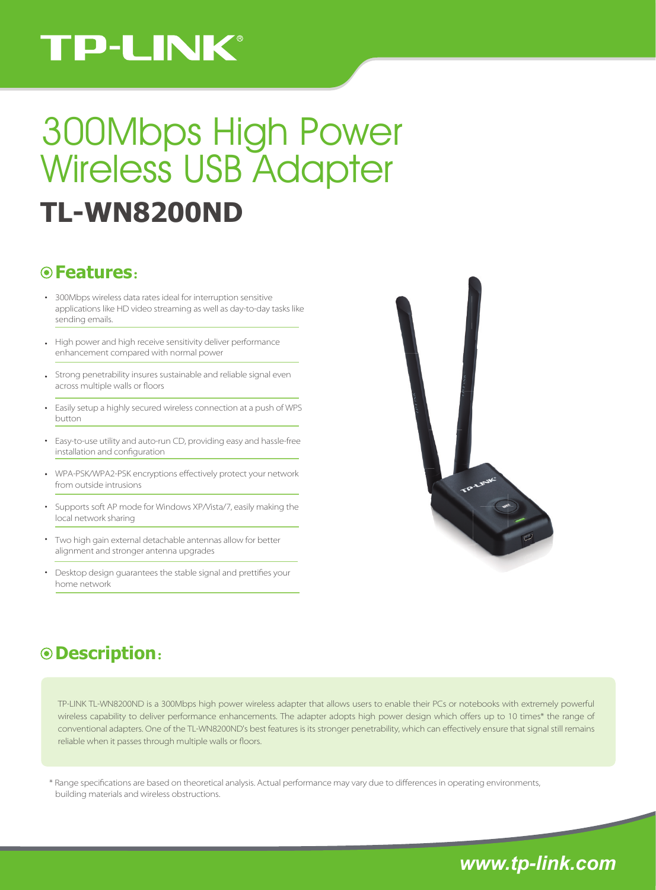# **TP-LINK®**

# **TL-WN8200ND** 300Mbps High Power Wireless USB Adapter

### **Features**:

- 300Mbps wireless data rates ideal for interruption sensitive applications like HD video streaming as well as day-to-day tasks like sending emails.
- High power and high receive sensitivity deliver performance enhancement compared with normal power
- Strong penetrability insures sustainable and reliable signal even across multiple walls or floors
- Easily setup a highly secured wireless connection at a push of WPS button
- Easy-to-use utility and auto-run CD, providing easy and hassle-free installation and configuration
- WPA-PSK/WPA2-PSK encryptions effectively protect your network from outside intrusions
- Supports soft AP mode for Windows XP/Vista/7, easily making the local network sharing
- Two high gain external detachable antennas allow for better alignment and stronger antenna upgrades
- Desktop design guarantees the stable signal and prettifies your home network



## **Description**:

TP-LINK TL-WN8200ND is a 300Mbps high power wireless adapter that allows users to enable their PCs or notebooks with extremely powerful wireless capability to deliver performance enhancements. The adapter adopts high power design which offers up to 10 times\* the range of conventional adapters. One of the TL-WN8200ND's best features is its stronger penetrability, which can effectively ensure that signal still remains reliable when it passes through multiple walls or floors.

\* Range specifications are based on theoretical analysis. Actual performance may vary due to differences in operating environments, building materials and wireless obstructions.

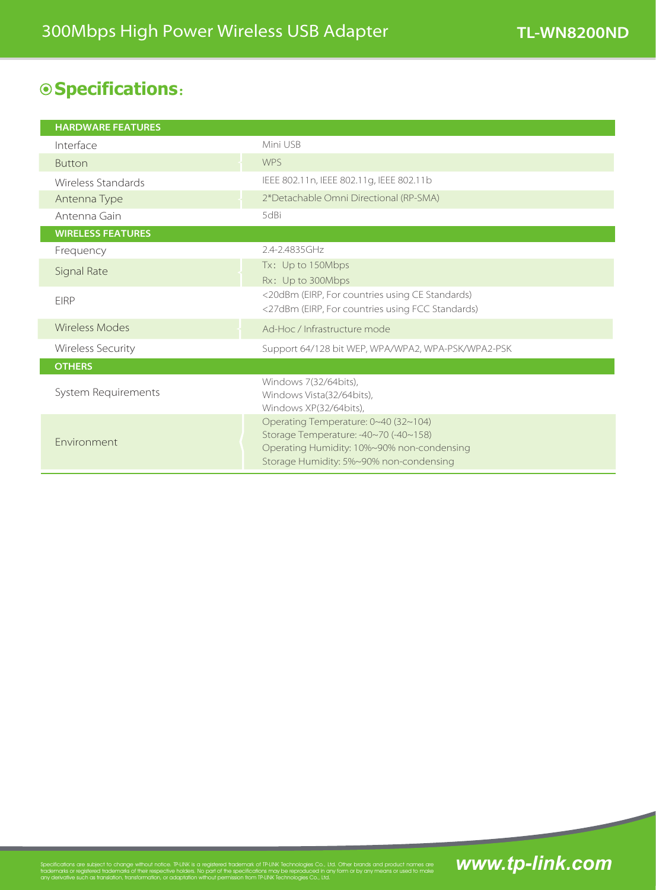## **Specifications**:

| <b>HARDWARE FEATURES</b> |                                                                                                                                                                        |
|--------------------------|------------------------------------------------------------------------------------------------------------------------------------------------------------------------|
| Interface                | Mini USB                                                                                                                                                               |
| <b>Button</b>            | <b>WPS</b>                                                                                                                                                             |
| Wireless Standards       | IEEE 802.11n, IEEE 802.11g, IEEE 802.11b                                                                                                                               |
| Antenna Type             | 2*Detachable Omni Directional (RP-SMA)                                                                                                                                 |
| Antenna Gain             | 5dBi                                                                                                                                                                   |
| <b>WIRELESS FEATURES</b> |                                                                                                                                                                        |
| Frequency                | 2.4-2.4835GHz                                                                                                                                                          |
| Signal Rate              | Tx: Up to 150Mbps                                                                                                                                                      |
|                          | Rx: Up to 300Mbps                                                                                                                                                      |
| <b>EIRP</b>              | <20dBm (EIRP, For countries using CE Standards)<br><27dBm (EIRP, For countries using FCC Standards)                                                                    |
| Wireless Modes           | Ad-Hoc / Infrastructure mode                                                                                                                                           |
| <b>Wireless Security</b> | Support 64/128 bit WEP, WPA/WPA2, WPA-PSK/WPA2-PSK                                                                                                                     |
| <b>OTHERS</b>            |                                                                                                                                                                        |
| System Requirements      | Windows 7(32/64bits),<br>Windows Vista(32/64bits),<br>Windows XP(32/64bits),                                                                                           |
| Environment              | Operating Temperature: 0~40 (32~104)<br>Storage Temperature: -40~70 (-40~158)<br>Operating Humidity: 10%~90% non-condensing<br>Storage Humidity: 5%~90% non-condensing |

# Specifications are subject to change without notice. TP-LINK is a registered trademark of TP-LINK Technologies Co., Ltd. Other brands and product names are **WWW.tpl=1mk.com**<br>trademarks or registered trademarks of their res